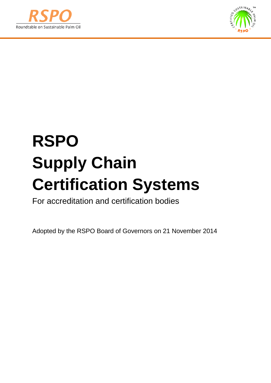



# **RSPO Supply Chain Certification Systems**

For accreditation and certification bodies

Adopted by the RSPO Board of Governors on 21 November 2014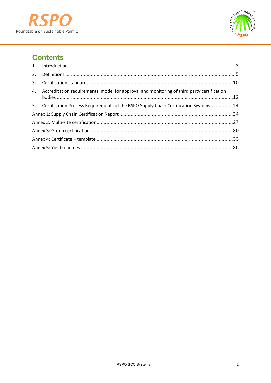



# **Contents**

| 2. |                                                                                            |  |
|----|--------------------------------------------------------------------------------------------|--|
|    |                                                                                            |  |
| 4. | Accreditation requirements: model for approval and monitoring of third party certification |  |
|    | 5. Certification Process Requirements of the RSPO Supply Chain Certification Systems 14    |  |
|    |                                                                                            |  |
|    |                                                                                            |  |
|    |                                                                                            |  |
|    |                                                                                            |  |
|    |                                                                                            |  |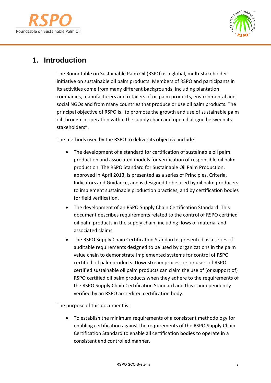



# <span id="page-2-0"></span>**1. Introduction**

The Roundtable on Sustainable Palm Oil (RSPO) is a global, multi-stakeholder initiative on sustainable oil palm products. Members of RSPO and participants in its activities come from many different backgrounds, including plantation companies, manufacturers and retailers of oil palm products, environmental and social NGOs and from many countries that produce or use oil palm products. The principal objective of RSPO is "to promote the growth and use of sustainable palm oil through cooperation within the supply chain and open dialogue between its stakeholders".

The methods used by the RSPO to deliver its objective include:

- The development of a standard for certification of sustainable oil palm production and associated models for verification of responsible oil palm production. The RSPO Standard for Sustainable Oil Palm Production, approved in April 2013, is presented as a series of Principles, Criteria, Indicators and Guidance, and is designed to be used by oil palm producers to implement sustainable production practices, and by certification bodies for field verification.
- The development of an RSPO Supply Chain Certification Standard. This document describes requirements related to the control of RSPO certified oil palm products in the supply chain, including flows of material and associated claims.
- The RSPO Supply Chain Certification Standard is presented as a series of auditable requirements designed to be used by organizations in the palm value chain to demonstrate implemented systems for control of RSPO certified oil palm products. Downstream processors or users of RSPO certified sustainable oil palm products can claim the use of (or support of) RSPO certified oil palm products when they adhere to the requirements of the RSPO Supply Chain Certification Standard and this is independently verified by an RSPO accredited certification body.

The purpose of this document is:

• To establish the minimum requirements of a consistent methodology for enabling certification against the requirements of the RSPO Supply Chain Certification Standard to enable all certification bodies to operate in a consistent and controlled manner.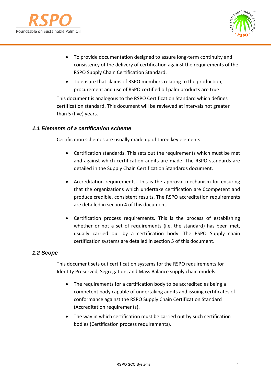



- To provide documentation designed to assure long-term continuity and consistency of the delivery of certification against the requirements of the RSPO Supply Chain Certification Standard.
- To ensure that claims of RSPO members relating to the production, procurement and use of RSPO certified oil palm products are true.

This document is analogous to the RSPO Certification Standard which defines certification standard. This document will be reviewed at intervals not greater than 5 (five) years.

## *1.1 Elements of a certification scheme*

Certification schemes are usually made up of three key elements:

- Certification standards. This sets out the requirements which must be met and against which certification audits are made. The RSPO standards are detailed in the Supply Chain Certification Standards document.
- Accreditation requirements. This is the approval mechanism for ensuring that the organizations which undertake certification are 0competent and produce credible, consistent results. The RSPO accreditation requirements are detailed in section 4 of this document.
- Certification process requirements. This is the process of establishing whether or not a set of requirements (i.e. the standard) has been met, usually carried out by a certification body. The RSPO Supply chain certification systems are detailed in section 5 of this document.

## *1.2 Scope*

This document sets out certification systems for the RSPO requirements for Identity Preserved, Segregation, and Mass Balance supply chain models:

- The requirements for a certification body to be accredited as being a competent body capable of undertaking audits and issuing certificates of conformance against the RSPO Supply Chain Certification Standard (Accreditation requirements).
- The way in which certification must be carried out by such certification bodies (Certification process requirements).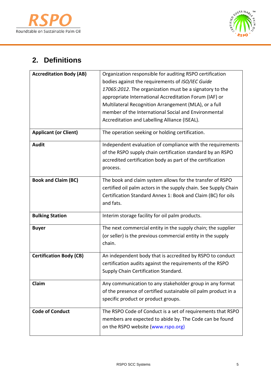



# <span id="page-4-0"></span>**2. Definitions**

| <b>Accreditation Body (AB)</b> | Organization responsible for auditing RSPO certification        |  |
|--------------------------------|-----------------------------------------------------------------|--|
|                                | bodies against the requirements of ISO/IEC Guide                |  |
|                                | 17065:2012. The organization must be a signatory to the         |  |
|                                | appropriate International Accreditation Forum (IAF) or          |  |
|                                | Multilateral Recognition Arrangement (MLA), or a full           |  |
|                                | member of the International Social and Environmental            |  |
|                                | Accreditation and Labelling Alliance (ISEAL).                   |  |
| <b>Applicant (or Client)</b>   | The operation seeking or holding certification.                 |  |
| <b>Audit</b>                   | Independent evaluation of compliance with the requirements      |  |
|                                | of the RSPO supply chain certification standard by an RSPO      |  |
|                                | accredited certification body as part of the certification      |  |
|                                | process.                                                        |  |
| <b>Book and Claim (BC)</b>     | The book and claim system allows for the transfer of RSPO       |  |
|                                | certified oil palm actors in the supply chain. See Supply Chain |  |
|                                | Certification Standard Annex 1: Book and Claim (BC) for oils    |  |
|                                | and fats.                                                       |  |
| <b>Bulking Station</b>         | Interim storage facility for oil palm products.                 |  |
| <b>Buyer</b>                   | The next commercial entity in the supply chain; the supplier    |  |
|                                | (or seller) is the previous commercial entity in the supply     |  |
|                                | chain.                                                          |  |
| <b>Certification Body (CB)</b> | An independent body that is accredited by RSPO to conduct       |  |
|                                | certification audits against the requirements of the RSPO       |  |
|                                | Supply Chain Certification Standard.                            |  |
|                                |                                                                 |  |
| Claim                          | Any communication to any stakeholder group in any format        |  |
|                                | of the presence of certified sustainable oil palm product in a  |  |
|                                | specific product or product groups.                             |  |
| <b>Code of Conduct</b>         | The RSPO Code of Conduct is a set of requirements that RSPO     |  |
|                                | members are expected to abide by. The Code can be found         |  |
|                                | on the RSPO website (www.rspo.org)                              |  |
|                                |                                                                 |  |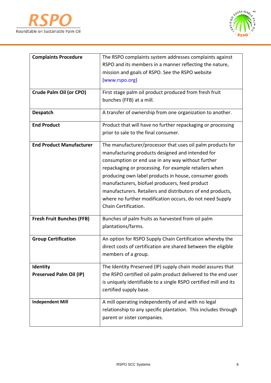



| <b>Complaints Procedure</b>      | The RSPO complaints system addresses complaints against          |  |  |
|----------------------------------|------------------------------------------------------------------|--|--|
|                                  | RSPO and its members in a manner reflecting the nature,          |  |  |
|                                  | mission and goals of RSPO. See the RSPO website                  |  |  |
|                                  | (www.rspo.org)                                                   |  |  |
|                                  |                                                                  |  |  |
| Crude Palm Oil (or CPO)          | First stage palm oil product produced from fresh fruit           |  |  |
|                                  | bunches (FFB) at a mill.                                         |  |  |
| Despatch                         | A transfer of ownership from one organization to another.        |  |  |
|                                  |                                                                  |  |  |
| <b>End Product</b>               | Product that will have no further repackaging or processing      |  |  |
|                                  | prior to sale to the final consumer.                             |  |  |
| <b>End Product Manufacturer</b>  | The manufacturer/processor that uses oil palm products for       |  |  |
|                                  | manufacturing products designed and intended for                 |  |  |
|                                  | consumption or end use in any way without further                |  |  |
|                                  | repackaging or processing. For example retailers when            |  |  |
|                                  | producing own label products in house, consumer goods            |  |  |
|                                  | manufacturers, biofuel producers, feed product                   |  |  |
|                                  | manufacturers. Retailers and distributors of end products,       |  |  |
|                                  | where no further modification occurs, do not need Supply         |  |  |
|                                  | Chain Certification.                                             |  |  |
| <b>Fresh Fruit Bunches (FFB)</b> | Bunches of palm fruits as harvested from oil palm                |  |  |
|                                  | plantations/farms.                                               |  |  |
|                                  |                                                                  |  |  |
| <b>Group Certification</b>       | An option for RSPO Supply Chain Certification whereby the        |  |  |
|                                  | direct costs of certification are shared between the eligible    |  |  |
|                                  | members of a group.                                              |  |  |
| <b>Identity</b>                  | The Identity Preserved (IP) supply chain model assures that      |  |  |
| <b>Preserved Palm Oil (IP)</b>   | the RSPO certified oil palm product delivered to the end user    |  |  |
|                                  | is uniquely identifiable to a single RSPO certified mill and its |  |  |
|                                  | certified supply base.                                           |  |  |
| <b>Independent Mill</b>          | A mill operating independently of and with no legal              |  |  |
|                                  | relationship to any specific plantation. This includes through   |  |  |
|                                  | parent or sister companies.                                      |  |  |
|                                  |                                                                  |  |  |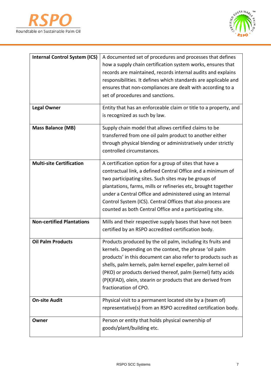



| <b>Internal Control System (ICS)</b> | A documented set of procedures and processes that defines        |  |
|--------------------------------------|------------------------------------------------------------------|--|
|                                      | how a supply chain certification system works, ensures that      |  |
|                                      | records are maintained, records internal audits and explains     |  |
|                                      | responsibilities. It defines which standards are applicable and  |  |
|                                      | ensures that non-compliances are dealt with according to a       |  |
|                                      | set of procedures and sanctions.                                 |  |
|                                      |                                                                  |  |
| <b>Legal Owner</b>                   | Entity that has an enforceable claim or title to a property, and |  |
|                                      | is recognized as such by law.                                    |  |
| <b>Mass Balance (MB)</b>             | Supply chain model that allows certified claims to be            |  |
|                                      | transferred from one oil palm product to another either          |  |
|                                      | through physical blending or administratively under strictly     |  |
|                                      | controlled circumstances.                                        |  |
|                                      |                                                                  |  |
| <b>Multi-site Certification</b>      | A certification option for a group of sites that have a          |  |
|                                      | contractual link, a defined Central Office and a minimum of      |  |
|                                      | two participating sites. Such sites may be groups of             |  |
|                                      | plantations, farms, mills or refineries etc, brought together    |  |
|                                      | under a Central Office and administered using an Internal        |  |
|                                      | Control System (ICS). Central Offices that also process are      |  |
|                                      | counted as both Central Office and a participating site.         |  |
| <b>Non-certified Plantations</b>     | Mills and their respective supply bases that have not been       |  |
|                                      | certified by an RSPO accredited certification body.              |  |
|                                      |                                                                  |  |
| <b>Oil Palm Products</b>             | Products produced by the oil palm, including its fruits and      |  |
|                                      | kernels. Depending on the context, the phrase 'oil palm          |  |
|                                      | products' in this document can also refer to products such as    |  |
|                                      | shells, palm kernels, palm kernel expeller, palm kernel oil      |  |
|                                      | (PKO) or products derived thereof, palm (kernel) fatty acids     |  |
|                                      | (P(K)FAD), olein, stearin or products that are derived from      |  |
|                                      | fractionation of CPO.                                            |  |
| <b>On-site Audit</b>                 | Physical visit to a permanent located site by a (team of)        |  |
|                                      | representative(s) from an RSPO accredited certification body.    |  |
|                                      |                                                                  |  |
| Owner                                | Person or entity that holds physical ownership of                |  |
|                                      | goods/plant/building etc.                                        |  |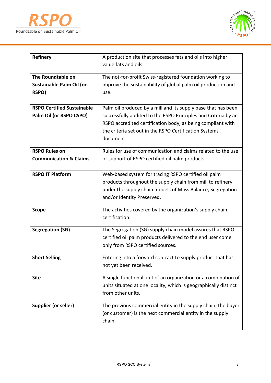



| <b>Refinery</b>                                              | A production site that processes fats and oils into higher<br>value fats and oils.                                                                                                                                                                                    |
|--------------------------------------------------------------|-----------------------------------------------------------------------------------------------------------------------------------------------------------------------------------------------------------------------------------------------------------------------|
| The Roundtable on<br>Sustainable Palm Oil (or<br>RSPO)       | The not-for-profit Swiss-registered foundation working to<br>improve the sustainability of global palm oil production and<br>use.                                                                                                                                     |
| <b>RSPO Certified Sustainable</b><br>Palm Oil (or RSPO CSPO) | Palm oil produced by a mill and its supply base that has been<br>successfully audited to the RSPO Principles and Criteria by an<br>RSPO accredited certification body, as being compliant with<br>the criteria set out in the RSPO Certification Systems<br>document. |
| <b>RSPO Rules on</b><br><b>Communication &amp; Claims</b>    | Rules for use of communication and claims related to the use<br>or support of RSPO certified oil palm products.                                                                                                                                                       |
| <b>RSPO IT Platform</b>                                      | Web-based system for tracing RSPO certified oil palm<br>products throughout the supply chain from mill to refinery,<br>under the supply chain models of Mass Balance, Segregation<br>and/or Identity Preserved.                                                       |
| <b>Scope</b>                                                 | The activities covered by the organization's supply chain<br>certification.                                                                                                                                                                                           |
| <b>Segregation (SG)</b>                                      | The Segregation (SG) supply chain model assures that RSPO<br>certified oil palm products delivered to the end user come<br>only from RSPO certified sources.                                                                                                          |
| <b>Short Selling</b>                                         | Entering into a forward contract to supply product that has<br>not yet been received.                                                                                                                                                                                 |
| <b>Site</b>                                                  | A single functional unit of an organization or a combination of<br>units situated at one locality, which is geographically distinct<br>from other units.                                                                                                              |
| <b>Supplier (or seller)</b>                                  | The previous commercial entity in the supply chain; the buyer<br>(or customer) is the next commercial entity in the supply<br>chain.                                                                                                                                  |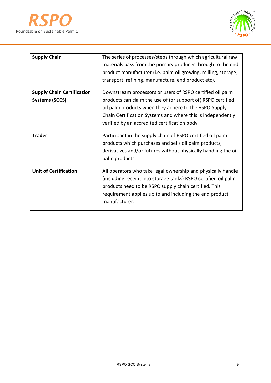



| <b>Supply Chain</b>               | The series of processes/steps through which agricultural raw   |  |
|-----------------------------------|----------------------------------------------------------------|--|
|                                   | materials pass from the primary producer through to the end    |  |
|                                   | product manufacturer (i.e. palm oil growing, milling, storage, |  |
|                                   | transport, refining, manufacture, end product etc).            |  |
| <b>Supply Chain Certification</b> | Downstream processors or users of RSPO certified oil palm      |  |
| <b>Systems (SCCS)</b>             | products can claim the use of (or support of) RSPO certified   |  |
|                                   | oil palm products when they adhere to the RSPO Supply          |  |
|                                   | Chain Certification Systems and where this is independently    |  |
|                                   | verified by an accredited certification body.                  |  |
|                                   |                                                                |  |
| <b>Trader</b>                     | Participant in the supply chain of RSPO certified oil palm     |  |
|                                   | products which purchases and sells oil palm products,          |  |
|                                   | derivatives and/or futures without physically handling the oil |  |
|                                   | palm products.                                                 |  |
|                                   |                                                                |  |
| <b>Unit of Certification</b>      | All operators who take legal ownership and physically handle   |  |
|                                   | (including receipt into storage tanks) RSPO certified oil palm |  |
|                                   | products need to be RSPO supply chain certified. This          |  |
|                                   | requirement applies up to and including the end product        |  |
|                                   | manufacturer.                                                  |  |
|                                   |                                                                |  |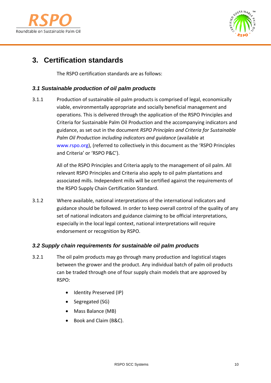



# <span id="page-9-0"></span>**3. Certification standards**

The RSPO certification standards are as follows:

# *3.1 Sustainable production of oil palm products*

3.1.1 Production of sustainable oil palm products is comprised of legal, economically viable, environmentally appropriate and socially beneficial management and operations. This is delivered through the application of the RSPO Principles and Criteria for Sustainable Palm Oil Production and the accompanying indicators and guidance, as set out in the document *RSPO Principles and Criteria for Sustainable Palm Oil Production including indicators and guidance* (available at [www.rspo.org\)](http://www.rspo.org/), (referred to collectively in this document as the 'RSPO Principles and Criteria' or 'RSPO P&C').

> All of the RSPO Principles and Criteria apply to the management of oil palm. All relevant RSPO Principles and Criteria also apply to oil palm plantations and associated mills. Independent mills will be certified against the requirements of the RSPO Supply Chain Certification Standard.

3.1.2 Where available, national interpretations of the international indicators and guidance should be followed. In order to keep overall control of the quality of any set of national indicators and guidance claiming to be official interpretations, especially in the local legal context, national interpretations will require endorsement or recognition by RSPO.

## *3.2 Supply chain requirements for sustainable oil palm products*

- 3.2.1 The oil palm products may go through many production and logistical stages between the grower and the product. Any individual batch of palm oil products can be traded through one of four supply chain models that are approved by RSPO:
	- Identity Preserved (IP)
	- Segregated (SG)
	- Mass Balance (MB)
	- Book and Claim (B&C).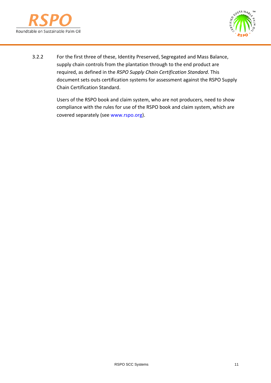



3.2.2 For the first three of these, Identity Preserved, Segregated and Mass Balance, supply chain controls from the plantation through to the end product are required, as defined in the *RSPO Supply Chain Certification Standard*. This document sets outs certification systems for assessment against the RSPO Supply Chain Certification Standard.

> Users of the RSPO book and claim system, who are not producers, need to show compliance with the rules for use of the RSPO book and claim system, which are covered separately (see [www.rspo.org\)](http://www.rspo.org/).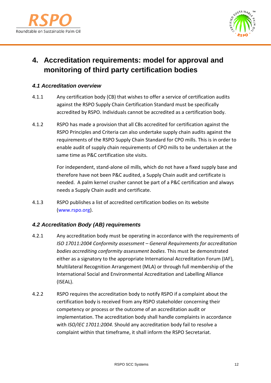



# <span id="page-11-0"></span>**4. Accreditation requirements: model for approval and monitoring of third party certification bodies**

# *4.1 Accreditation overview*

- 4.1.1 Any certification body (CB) that wishes to offer a service of certification audits against the RSPO Supply Chain Certification Standard must be specifically accredited by RSPO. Individuals cannot be accredited as a certification body.
- 4.1.2 RSPO has made a provision that all CBs accredited for certification against the RSPO Principles and Criteria can also undertake supply chain audits against the requirements of the RSPO Supply Chain Standard for CPO mills. This is in order to enable audit of supply chain requirements of CPO mills to be undertaken at the same time as P&C certification site visits.

For independent, stand-alone oil mills, which do not have a fixed supply base and therefore have not been P&C audited, a Supply Chain audit and certificate is needed. A palm kernel crusher cannot be part of a P&C certification and always needs a Supply Chain audit and certificate.

4.1.3 RSPO publishes a list of accredited certification bodies on its website [\(www.rspo.org\)](http://www.rspo.org/).

# *4.2 Accreditation Body (AB) requirements*

- 4.2.1 Any accreditation body must be operating in accordance with the requirements of *ISO 17011:2004 Conformity assessment – General Requirements for accreditation bodies accrediting conformity assessment bodies*. This must be demonstrated either as a signatory to the appropriate International Accreditation Forum (IAF), Multilateral Recognition Arrangement (MLA) or through full membership of the International Social and Environmental Accreditation and Labelling Alliance (ISEAL).
- 4.2.2 RSPO requires the accreditation body to notify RSPO if a complaint about the certification body is received from any RSPO stakeholder concerning their competency or process or the outcome of an accreditation audit or implementation. The accreditation body shall handle complaints in accordance with *ISO/IEC 17011:2004*. Should any accreditation body fail to resolve a complaint within that timeframe, it shall inform the RSPO Secretariat.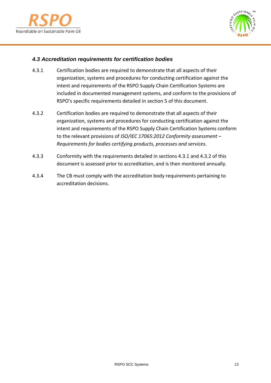



# *4.3 Accreditation requirements for certification bodies*

- 4.3.1 Certification bodies are required to demonstrate that all aspects of their organization, systems and procedures for conducting certification against the intent and requirements of the RSPO Supply Chain Certification Systems are included in documented management systems, and conform to the provisions of RSPO's specific requirements detailed in section 5 of this document.
- 4.3.2 Certification bodies are required to demonstrate that all aspects of their organization, systems and procedures for conducting certification against the intent and requirements of the RSPO Supply Chain Certification Systems conform to the relevant provisions of *ISO/IEC 17065:2012 Conformity assessment – Requirements for bodies certifying products, processes and services.*
- 4.3.3 Conformity with the requirements detailed in sections 4.3.1 and 4.3.2 of this document is assessed prior to accreditation, and is then monitored annually.
- 4.3.4 The CB must comply with the accreditation body requirements pertaining to accreditation decisions.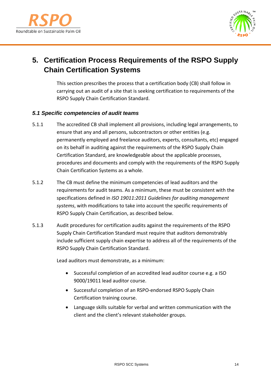



# <span id="page-13-0"></span>**5. Certification Process Requirements of the RSPO Supply Chain Certification Systems**

This section prescribes the process that a certification body (CB) shall follow in carrying out an audit of a site that is seeking certification to requirements of the RSPO Supply Chain Certification Standard.

## *5.1 Specific competencies of audit teams*

- 5.1.1 The accredited CB shall implement all provisions, including legal arrangements, to ensure that any and all persons, subcontractors or other entities (e.g. permanently employed and freelance auditors, experts, consultants, etc) engaged on its behalf in auditing against the requirements of the RSPO Supply Chain Certification Standard, are knowledgeable about the applicable processes, procedures and documents and comply with the requirements of the RSPO Supply Chain Certification Systems as a whole.
- 5.1.2 The CB must define the minimum competencies of lead auditors and the requirements for audit teams. As a minimum, these must be consistent with the specifications defined in *ISO 19011:2011 Guidelines for auditing management systems*, with modifications to take into account the specific requirements of RSPO Supply Chain Certification, as described below.
- 5.1.3 Audit procedures for certification audits against the requirements of the RSPO Supply Chain Certification Standard must require that auditors demonstrably include sufficient supply chain expertise to address all of the requirements of the RSPO Supply Chain Certification Standard.

Lead auditors must demonstrate, as a minimum:

- Successful completion of an accredited lead auditor course e.g. a ISO 9000/19011 lead auditor course.
- Successful completion of an RSPO-endorsed RSPO Supply Chain Certification training course.
- Language skills suitable for verbal and written communication with the client and the client's relevant stakeholder groups.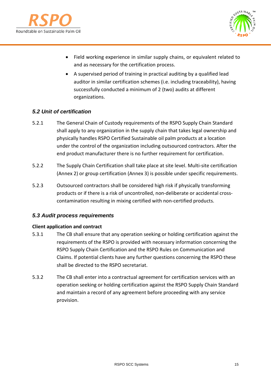



- Field working experience in similar supply chains, or equivalent related to and as necessary for the certification process.
- A supervised period of training in practical auditing by a qualified lead auditor in similar certification schemes (i.e. including traceability), having successfully conducted a minimum of 2 (two) audits at different organizations.

# *5.2 Unit of certification*

- 5.2.1 The General Chain of Custody requirements of the RSPO Supply Chain Standard shall apply to any organization in the supply chain that takes legal ownership and physically handles RSPO Certified Sustainable oil palm products at a location under the control of the organization including outsourced contractors. After the end product manufacturer there is no further requirement for certification.
- 5.2.2 The Supply Chain Certification shall take place at site level. Multi-site certification (Annex 2) or group certification (Annex 3) is possible under specific requirements.
- 5.2.3 Outsourced contractors shall be considered high risk if physically transforming products or if there is a risk of uncontrolled, non-deliberate or accidental crosscontamination resulting in mixing certified with non-certified products.

## *5.3 Audit process requirements*

#### **Client application and contract**

- 5.3.1 The CB shall ensure that any operation seeking or holding certification against the requirements of the RSPO is provided with necessary information concerning the RSPO Supply Chain Certification and the RSPO Rules on Communication and Claims. If potential clients have any further questions concerning the RSPO these shall be directed to the RSPO secretariat.
- 5.3.2 The CB shall enter into a contractual agreement for certification services with an operation seeking or holding certification against the RSPO Supply Chain Standard and maintain a record of any agreement before proceeding with any service provision.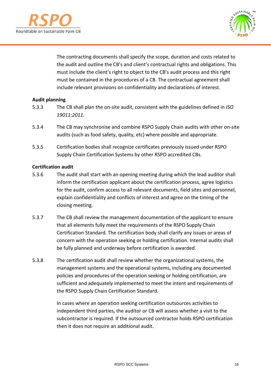



The contracting documents shall specify the scope, duration and costs related to the audit and outline the CB's and client's contractual rights and obligations. This must include the client's right to object to the CB's audit process and this right must be contained in the procedures of a CB. The contractual agreement shall include relevant provisions on confidentiality and declarations of interest.

#### **Audit planning**

- 5.3.3 The CB shall plan the on-site audit, consistent with the guidelines defined in *ISO 19011:2011*.
- 5.3.4 The CB may synchronise and combine RSPO Supply Chain audits with other on-site audits (such as food safety, quality, etc) where possible and appropriate.
- 5.3.5 Certification bodies shall recognize certificates previously issued under RSPO Supply Chain Certification Systems by other RSPO accredited CBs.

#### **Certification audit**

- 5.3.6 The audit shall start with an opening meeting during which the lead auditor shall inform the certification applicant about the certification process, agree logistics for the audit, confirm access to all relevant documents, field sites and personnel, explain confidentiality and conflicts of interest and agree on the timing of the closing meeting.
- 5.3.7 The CB shall review the management documentation of the applicant to ensure that all elements fully meet the requirements of the RSPO Supply Chain Certification Standard. The certification body shall clarify any issues or areas of concern with the operation seeking or holding certification. Internal audits shall be fully planned and underway before certification is awarded.
- 5.3.8 The certification audit shall review whether the organizational systems, the management systems and the operational systems, including any documented policies and procedures of the operation seeking or holding certification, are sufficient and adequately implemented to meet the intent and requirements of the RSPO Supply Chain Certification Standard.

In cases where an operation seeking certification outsources activities to independent third parties, the auditor or CB will assess whether a visit to the subcontractor is required. If the outsourced contractor holds RSPO certification then it does not require an additional audit.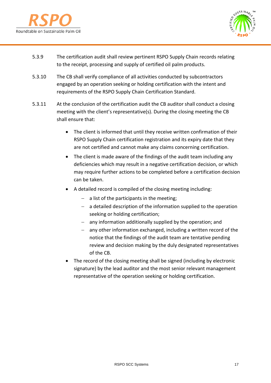



- 5.3.9 The certification audit shall review pertinent RSPO Supply Chain records relating to the receipt, processing and supply of certified oil palm products.
- 5.3.10 The CB shall verify compliance of all activities conducted by subcontractors engaged by an operation seeking or holding certification with the intent and requirements of the RSPO Supply Chain Certification Standard.
- 5.3.11 At the conclusion of the certification audit the CB auditor shall conduct a closing meeting with the client's representative(s). During the closing meeting the CB shall ensure that:
	- The client is informed that until they receive written confirmation of their RSPO Supply Chain certification registration and its expiry date that they are not certified and cannot make any claims concerning certification.
	- The client is made aware of the findings of the audit team including any deficiencies which may result in a negative certification decision, or which may require further actions to be completed before a certification decision can be taken.
	- A detailed record is compiled of the closing meeting including:
		- − a list of the participants in the meeting;
		- − a detailed description of the information supplied to the operation seeking or holding certification;
		- − any information additionally supplied by the operation; and
		- − any other information exchanged, including a written record of the notice that the findings of the audit team are tentative pending review and decision making by the duly designated representatives of the CB.
	- The record of the closing meeting shall be signed (including by electronic signature) by the lead auditor and the most senior relevant management representative of the operation seeking or holding certification.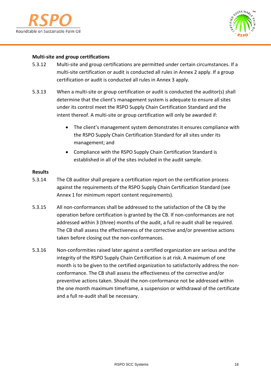



#### **Multi-site and group certifications**

- 5.3.12 Multi-site and group certifications are permitted under certain circumstances. If a multi-site certification or audit is conducted all rules in Annex 2 apply. If a group certification or audit is conducted all rules in Annex 3 apply.
- 5.3.13 When a multi-site or group certification or audit is conducted the auditor(s) shall determine that the client's management system is adequate to ensure all sites under its control meet the RSPO Supply Chain Certification Standard and the intent thereof. A multi-site or group certification will only be awarded if:
	- The client's management system demonstrates it ensures compliance with the RSPO Supply Chain Certification Standard for all sites under its management; and
	- Compliance with the RSPO Supply Chain Certification Standard is established in all of the sites included in the audit sample.

#### **Results**

- 5.3.14 The CB auditor shall prepare a certification report on the certification process against the requirements of the RSPO Supply Chain Certification Standard (see Annex 1 for minimum report content requirements).
- 5.3.15 All non-conformances shall be addressed to the satisfaction of the CB by the operation before certification is granted by the CB. If non-conformances are not addressed within 3 (three) months of the audit, a full re-audit shall be required. The CB shall assess the effectiveness of the corrective and/or preventive actions taken before closing out the non-conformances.
- 5.3.16 Non-conformities raised later against a certified organization are serious and the integrity of the RSPO Supply Chain Certification is at risk. A maximum of one month is to be given to the certified organization to satisfactorily address the nonconformance. The CB shall assess the effectiveness of the corrective and/or preventive actions taken. Should the non-conformance not be addressed within the one month maximum timeframe, a suspension or withdrawal of the certificate and a full re-audit shall be necessary.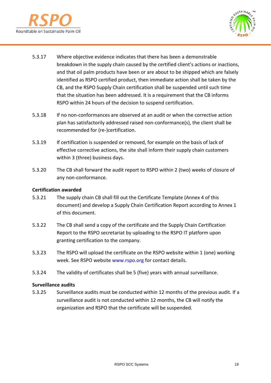



- 5.3.17 Where objective evidence indicates that there has been a demonstrable breakdown in the supply chain caused by the certified client's actions or inactions, and that oil palm products have been or are about to be shipped which are falsely identified as RSPO certified product, then immediate action shall be taken by the CB, and the RSPO Supply Chain certification shall be suspended until such time that the situation has been addressed. It is a requirement that the CB informs RSPO within 24 hours of the decision to suspend certification.
- 5.3.18 If no non-conformances are observed at an audit or when the corrective action plan has satisfactorily addressed raised non-conformance(s), the client shall be recommended for (re-)certification.
- 5.3.19 If certification is suspended or removed, for example on the basis of lack of effective corrective actions, the site shall inform their supply chain customers within 3 (three) business days.
- 5.3.20 The CB shall forward the audit report to RSPO within 2 (two) weeks of closure of any non-conformance.

#### **Certification awarded**

- 5.3.21 The supply chain CB shall fill out the Certificate Template (Annex 4 of this document) and develop a Supply Chain Certification Report according to Annex 1 of this document.
- 5.3.22 The CB shall send a copy of the certificate and the Supply Chain Certification Report to the RSPO secretariat by uploading to the RSPO IT platform upon granting certification to the company.
- 5.3.23 The RSPO will upload the certificate on the RSPO website within 1 (one) working week. See RSPO website [www.rspo.org](http://www.rspo.org/) for contact details.
- 5.3.24 The validity of certificates shall be 5 (five) years with annual surveillance.

#### **Surveillance audits**

5.3.25 Surveillance audits must be conducted within 12 months of the previous audit. If a surveillance audit is not conducted within 12 months, the CB will notify the organization and RSPO that the certificate will be suspended.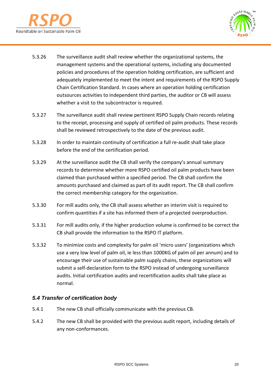



- 5.3.26 The surveillance audit shall review whether the organizational systems, the management systems and the operational systems, including any documented policies and procedures of the operation holding certification, are sufficient and adequately implemented to meet the intent and requirements of the RSPO Supply Chain Certification Standard. In cases where an operation holding certification outsources activities to independent third parties, the auditor or CB will assess whether a visit to the subcontractor is required.
- 5.3.27 The surveillance audit shall review pertinent RSPO Supply Chain records relating to the receipt, processing and supply of certified oil palm products. These records shall be reviewed retrospectively to the date of the previous audit.
- 5.3.28 In order to maintain continuity of certification a full re-audit shall take place before the end of the certification period.
- 5.3.29 At the surveillance audit the CB shall verify the company's annual summary records to determine whether more RSPO certified oil palm products have been claimed than purchased within a specified period. The CB shall confirm the amounts purchased and claimed as part of its audit report. The CB shall confirm the correct membership category for the organization.
- 5.3.30 For mill audits only, the CB shall assess whether an interim visit is required to confirm quantities if a site has informed them of a projected overproduction.
- 5.3.31 For mill audits only, if the higher production volume is confirmed to be correct the CB shall provide the information to the RSPO IT platform.
- 5.3.32 To minimize costs and complexity for palm oil 'micro users' (organizations which use a very low level of palm oil, ie less than 1000KG of palm oil per annum) and to encourage their use of sustainable palm supply chains, these organizations will submit a self-declaration form to the RSPO instead of undergoing surveillance audits. Initial certification audits and recertification audits shall take place as normal.

# *5.4 Transfer of certification body*

- 5.4.1 The new CB shall officially communicate with the previous CB.
- 5.4.2 The new CB shall be provided with the previous audit report, including details of any non-conformances.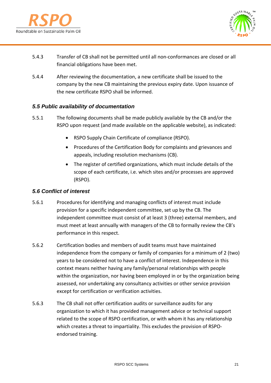



- 5.4.3 Transfer of CB shall not be permitted until all non-conformances are closed or all financial obligations have been met.
- 5.4.4 After reviewing the documentation, a new certificate shall be issued to the company by the new CB maintaining the previous expiry date. Upon issuance of the new certificate RSPO shall be informed.

# *5.5 Public availability of documentation*

- 5.5.1 The following documents shall be made publicly available by the CB and/or the RSPO upon request (and made available on the applicable website), as indicated:
	- RSPO Supply Chain Certificate of compliance (RSPO).
	- Procedures of the Certification Body for complaints and grievances and appeals, including resolution mechanisms (CB).
	- The register of certified organizations, which must include details of the scope of each certificate, i.e. which sites and/or processes are approved (RSPO).

# *5.6 Conflict of interest*

- 5.6.1 Procedures for identifying and managing conflicts of interest must include provision for a specific independent committee, set up by the CB. The independent committee must consist of at least 3 (three) external members, and must meet at least annually with managers of the CB to formally review the CB's performance in this respect.
- 5.6.2 Certification bodies and members of audit teams must have maintained independence from the company or family of companies for a minimum of 2 (two) years to be considered not to have a conflict of interest. Independence in this context means neither having any family/personal relationships with people within the organization, nor having been employed in or by the organization being assessed, nor undertaking any consultancy activities or other service provision except for certification or verification activities.
- 5.6.3 The CB shall not offer certification audits or surveillance audits for any organization to which it has provided management advice or technical support related to the scope of RSPO certification, or with whom it has any relationship which creates a threat to impartiality. This excludes the provision of RSPOendorsed training.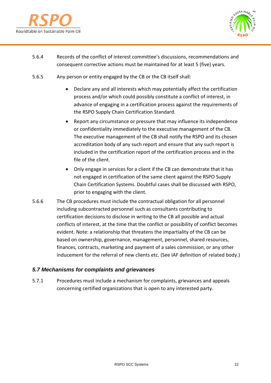



- 5.6.4 Records of the conflict of interest committee's discussions, recommendations and consequent corrective actions must be maintained for at least 5 (five) years.
- 5.6.5 Any person or entity engaged by the CB or the CB itself shall:
	- Declare any and all interests which may potentially affect the certification process and/or which could possibly constitute a conflict of interest, in advance of engaging in a certification process against the requirements of the RSPO Supply Chain Certification Standard.
	- Report any circumstance or pressure that may influence its independence or confidentiality immediately to the executive management of the CB. The executive management of the CB shall notify the RSPO and its chosen accreditation body of any such report and ensure that any such report is included in the certification report of the certification process and in the file of the client.
	- Only engage in services for a client if the CB can demonstrate that it has not engaged in certification of the same client against the RSPO Supply Chain Certification Systems. Doubtful cases shall be discussed with RSPO, prior to engaging with the client.
- 5.6.6 The CB procedures must include the contractual obligation for all personnel including subcontracted personnel such as consultants contributing to certification decisions to disclose in writing to the CB all possible and actual conflicts of interest, at the time that the conflict or possibility of conflict becomes evident. Note: a relationship that threatens the impartiality of the CB can be based on ownership, governance, management, personnel, shared resources, finances, contracts, marketing and payment of a sales commission, or any other inducement for the referral of new clients etc. (See IAF definition of related body.)

## *5.7 Mechanisms for complaints and grievances*

5.7.1 Procedures must include a mechanism for complaints, grievances and appeals concerning certified organizations that is open to any interested party.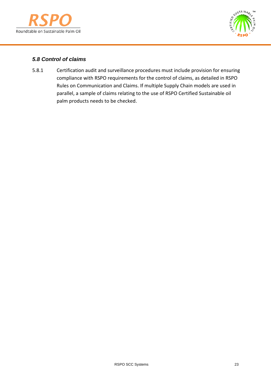



# *5.8 Control of claims*

5.8.1 Certification audit and surveillance procedures must include provision for ensuring compliance with RSPO requirements for the control of claims, as detailed in RSPO Rules on Communication and Claims. If multiple Supply Chain models are used in parallel, a sample of claims relating to the use of RSPO Certified Sustainable oil palm products needs to be checked.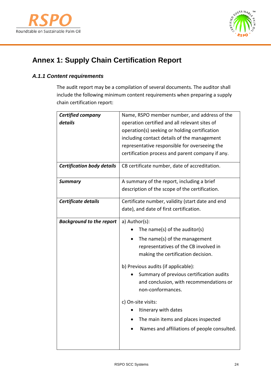



# <span id="page-23-0"></span>**Annex 1: Supply Chain Certification Report**

# *A.1.1 Content requirements*

The audit report may be a compilation of several documents. The auditor shall include the following minimum content requirements when preparing a supply chain certification report:

| <b>Certified company</b>          | Name, RSPO member number, and address of the     |  |  |
|-----------------------------------|--------------------------------------------------|--|--|
| details                           | operation certified and all relevant sites of    |  |  |
|                                   | operation(s) seeking or holding certification    |  |  |
|                                   | including contact details of the management      |  |  |
|                                   | representative responsible for overseeing the    |  |  |
|                                   | certification process and parent company if any. |  |  |
| <b>Certification body details</b> | CB certificate number, date of accreditation.    |  |  |
| <b>Summary</b>                    | A summary of the report, including a brief       |  |  |
|                                   | description of the scope of the certification.   |  |  |
| Certificate details               | Certificate number, validity (start date and end |  |  |
|                                   | date), and date of first certification.          |  |  |
| <b>Background to the report</b>   | a) Author(s):                                    |  |  |
|                                   | The name(s) of the auditor(s)                    |  |  |
|                                   | The name(s) of the management                    |  |  |
|                                   | representatives of the CB involved in            |  |  |
|                                   | making the certification decision.               |  |  |
|                                   | b) Previous audits (if applicable):              |  |  |
|                                   | Summary of previous certification audits         |  |  |
|                                   | and conclusion, with recommendations or          |  |  |
|                                   | non-conformances.                                |  |  |
|                                   | c) On-site visits:                               |  |  |
|                                   | Itinerary with dates                             |  |  |
|                                   | The main items and places inspected              |  |  |
|                                   | Names and affiliations of people consulted.      |  |  |
|                                   |                                                  |  |  |
|                                   |                                                  |  |  |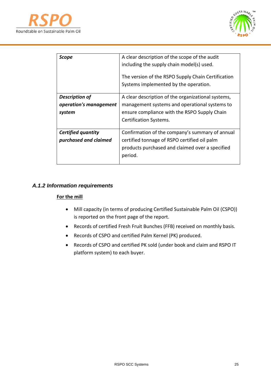



| Scope                                                     | A clear description of the scope of the audit<br>including the supply chain model(s) used.<br>The version of the RSPO Supply Chain Certification<br>Systems implemented by the operation. |
|-----------------------------------------------------------|-------------------------------------------------------------------------------------------------------------------------------------------------------------------------------------------|
| <b>Description of</b><br>operation's management<br>system | A clear description of the organizational systems,<br>management systems and operational systems to<br>ensure compliance with the RSPO Supply Chain<br>Certification Systems.             |
| <b>Certified quantity</b><br>purchased and claimed        | Confirmation of the company's summary of annual<br>certified tonnage of RSPO certified oil palm<br>products purchased and claimed over a specified<br>period.                             |

# *A.1.2 Information requirements*

#### **For the mill**

- Mill capacity (in terms of producing Certified Sustainable Palm Oil (CSPO)) is reported on the front page of the report.
- Records of certified Fresh Fruit Bunches (FFB) received on monthly basis.
- Records of CSPO and certified Palm Kernel (PK) produced.
- Records of CSPO and certified PK sold (under book and claim and RSPO IT platform system) to each buyer.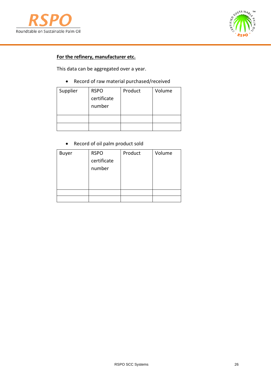



# **For the refinery, manufacturer etc.**

This data can be aggregated over a year.

• Record of raw material purchased/received

| Supplier | <b>RSPO</b><br>certificate<br>number | Product | Volume |
|----------|--------------------------------------|---------|--------|
|          |                                      |         |        |
|          |                                      |         |        |

• Record of oil palm product sold

| <b>Buyer</b> | <b>RSPO</b> | Product | Volume |
|--------------|-------------|---------|--------|
|              | certificate |         |        |
|              | number      |         |        |
|              |             |         |        |
|              |             |         |        |
|              |             |         |        |
|              |             |         |        |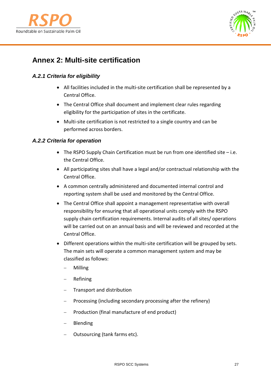



# <span id="page-26-0"></span>**Annex 2: Multi-site certification**

# *A.2.1 Criteria for eligibility*

- All facilities included in the multi-site certification shall be represented by a Central Office.
- The Central Office shall document and implement clear rules regarding eligibility for the participation of sites in the certificate.
- Multi-site certification is not restricted to a single country and can be performed across borders.

# *A.2.2 Criteria for operation*

- The RSPO Supply Chain Certification must be run from one identified site i.e. the Central Office.
- All participating sites shall have a legal and/or contractual relationship with the Central Office.
- A common centrally administered and documented internal control and reporting system shall be used and monitored by the Central Office.
- The Central Office shall appoint a management representative with overall responsibility for ensuring that all operational units comply with the RSPO supply chain certification requirements. Internal audits of all sites/ operations will be carried out on an annual basis and will be reviewed and recorded at the Central Office.
- Different operations within the multi-site certification will be grouped by sets. The main sets will operate a common management system and may be classified as follows:
	- − Milling
	- − Refining
	- Transport and distribution
	- Processing (including secondary processing after the refinery)
	- Production (final manufacture of end product)
	- − Blending
	- − Outsourcing (tank farms etc).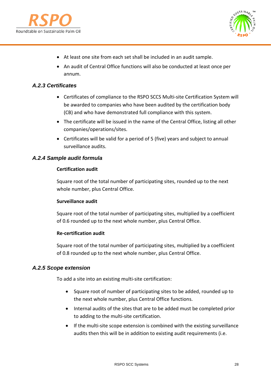



- At least one site from each set shall be included in an audit sample.
- An audit of Central Office functions will also be conducted at least once per annum.

#### *A.2.3 Certificates*

- Certificates of compliance to the RSPO SCCS Multi-site Certification System will be awarded to companies who have been audited by the certification body (CB) and who have demonstrated full compliance with this system.
- The certificate will be issued in the name of the Central Office, listing all other companies/operations/sites.
- Certificates will be valid for a period of 5 (five) years and subject to annual surveillance audits.

#### *A.2.4 Sample audit formula*

#### **Certification audit**

Square root of the total number of participating sites, rounded up to the next whole number, plus Central Office.

#### **Surveillance audit**

Square root of the total number of participating sites, multiplied by a coefficient of 0.6 rounded up to the next whole number, plus Central Office.

#### **Re-certification audit**

Square root of the total number of participating sites, multiplied by a coefficient of 0.8 rounded up to the next whole number, plus Central Office.

#### *A.2.5 Scope extension*

To add a site into an existing multi-site certification:

- Square root of number of participating sites to be added, rounded up to the next whole number, plus Central Office functions.
- Internal audits of the sites that are to be added must be completed prior to adding to the multi-site certification.
- If the multi-site scope extension is combined with the existing surveillance audits then this will be in addition to existing audit requirements (i.e.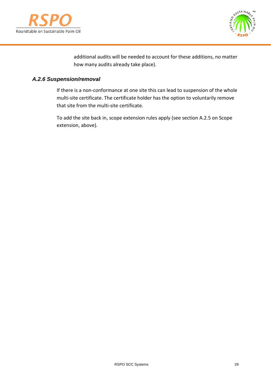



additional audits will be needed to account for these additions, no matter how many audits already take place).

# *A.2.6 Suspension/removal*

If there is a non-conformance at one site this can lead to suspension of the whole multi-site certificate. The certificate holder has the option to voluntarily remove that site from the multi-site certificate.

To add the site back in, scope extension rules apply (see section A.2.5 on Scope extension, above).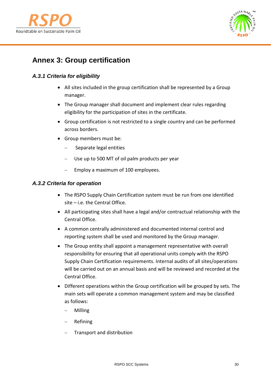



# <span id="page-29-0"></span>**Annex 3: Group certification**

# *A.3.1 Criteria for eligibility*

- All sites included in the group certification shall be represented by a Group manager.
- The Group manager shall document and implement clear rules regarding eligibility for the participation of sites in the certificate.
- Group certification is not restricted to a single country and can be performed across borders.
- Group members must be:
	- − Separate legal entities
	- − Use up to 500 MT of oil palm products per year
	- Employ a maximum of 100 employees.

#### *A.3.2 Criteria for operation*

- The RSPO Supply Chain Certification system must be run from one identified site – i.e. the Central Office.
- All participating sites shall have a legal and/or contractual relationship with the Central Office.
- A common centrally administered and documented internal control and reporting system shall be used and monitored by the Group manager.
- The Group entity shall appoint a management representative with overall responsibility for ensuring that all operational units comply with the RSPO Supply Chain Certification requirements. Internal audits of all sites/operations will be carried out on an annual basis and will be reviewed and recorded at the Central Office.
- Different operations within the Group certification will be grouped by sets. The main sets will operate a common management system and may be classified as follows:
	- − Milling
	- − Refining
	- − Transport and distribution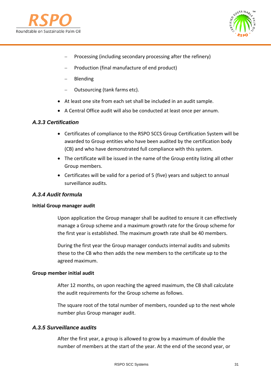



- Processing (including secondary processing after the refinery)
- − Production (final manufacture of end product)
- − Blending
- − Outsourcing (tank farms etc).
- At least one site from each set shall be included in an audit sample.
- A Central Office audit will also be conducted at least once per annum.

#### *A.3.3 Certification*

- Certificates of compliance to the RSPO SCCS Group Certification System will be awarded to Group entities who have been audited by the certification body (CB) and who have demonstrated full compliance with this system.
- The certificate will be issued in the name of the Group entity listing all other Group members.
- Certificates will be valid for a period of 5 (five) years and subject to annual surveillance audits.

## *A.3.4 Audit formula*

#### **Initial Group manager audit**

Upon application the Group manager shall be audited to ensure it can effectively manage a Group scheme and a maximum growth rate for the Group scheme for the first year is established. The maximum growth rate shall be 40 members.

During the first year the Group manager conducts internal audits and submits these to the CB who then adds the new members to the certificate up to the agreed maximum.

#### **Group member initial audit**

After 12 months, on upon reaching the agreed maximum, the CB shall calculate the audit requirements for the Group scheme as follows.

The square root of the total number of members, rounded up to the next whole number plus Group manager audit.

## *A.3.5 Surveillance audits*

After the first year, a group is allowed to grow by a maximum of double the number of members at the start of the year. At the end of the second year, or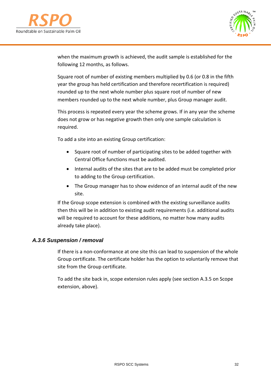



when the maximum growth is achieved, the audit sample is established for the following 12 months, as follows.

Square root of number of existing members multiplied by 0.6 (or 0.8 in the fifth year the group has held certification and therefore recertification is required) rounded up to the next whole number plus square root of number of new members rounded up to the next whole number, plus Group manager audit.

This process is repeated every year the scheme grows. If in any year the scheme does not grow or has negative growth then only one sample calculation is required.

To add a site into an existing Group certification:

- Square root of number of participating sites to be added together with Central Office functions must be audited.
- Internal audits of the sites that are to be added must be completed prior to adding to the Group certification.
- The Group manager has to show evidence of an internal audit of the new site.

If the Group scope extension is combined with the existing surveillance audits then this will be in addition to existing audit requirements (i.e. additional audits will be required to account for these additions, no matter how many audits already take place).

## *A.3.6 Suspension / removal*

If there is a non-conformance at one site this can lead to suspension of the whole Group certificate. The certificate holder has the option to voluntarily remove that site from the Group certificate.

To add the site back in, scope extension rules apply (see section A.3.5 on Scope extension, above).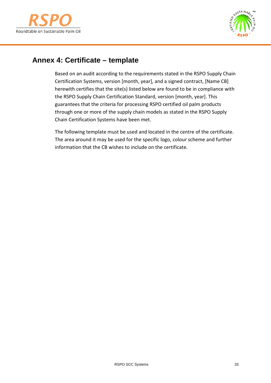



# <span id="page-32-0"></span>**Annex 4: Certificate – template**

Based on an audit according to the requirements stated in the RSPO Supply Chain Certification Systems, version [month, year], and a signed contract, [Name CB] herewith certifies that the site(s) listed below are found to be in compliance with the RSPO Supply Chain Certification Standard, version [month, year]. This guarantees that the criteria for processing RSPO certified oil palm products through one or more of the supply chain models as stated in the RSPO Supply Chain Certification Systems have been met.

The following template must be used and located in the centre of the certificate. The area around it may be used for the specific logo, colour scheme and further information that the CB wishes to include on the certificate.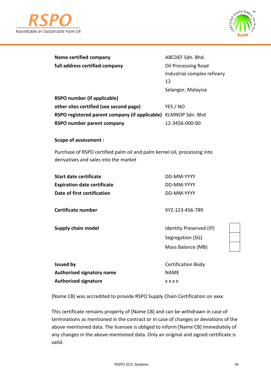



| Name certified company         | ABCDEF Sdn. Bhd.    |
|--------------------------------|---------------------|
| full address certified company | Oil Processing Road |

Industrial complex refinery 12 Selangor, Malaysia

| RSPO number (if applicable)                                    |                |
|----------------------------------------------------------------|----------------|
| other sites certified (see second page)                        | YES / NO       |
| RSPO registered parent company (if applicable) KLMNOP Sdn. Bhd |                |
| RSPO number parent company                                     | 12-3456-000-00 |

#### **Scope of assessment :**

Purchase of RSPO certified palm oil and palm kernel oil, processing into derivatives and sales into the market

| Start date certificate             | DD-MM-YYYY |
|------------------------------------|------------|
| <b>Expiration date certificate</b> | DD-MM-YYYY |
| Date of first certification        | DD-MM-YYYY |

**Certificate number** XYZ-123-456-789

**Supply chain model IDENTIFY PRESERVED IDENTIFY PRESERVED (IP)** Segregation (SG) Mass Balance (MB)

| <b>Issued by</b>                 | <b>Certification Body</b> |
|----------------------------------|---------------------------|
| <b>Authorised signatory name</b> | NAMF                      |
| <b>Authorised signature</b>      | <b>xxxx</b>               |

[Name CB] was accredited to provide RSPO Supply Chain Certification on xxxx

This certificate remains property of [Name CB] and can be withdrawn in case of terminations as mentioned in the contract or in case of changes or deviations of the above-mentioned data. The licensee is obliged to inform [Name CB] immediately of any changes in the above-mentioned data. Only an original and signed certificate is valid.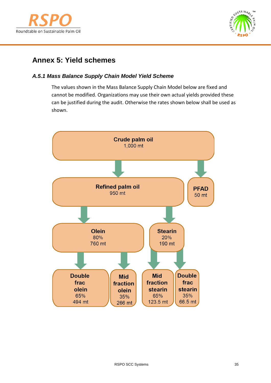



# <span id="page-34-0"></span>**Annex 5: Yield schemes**

# *A.5.1 Mass Balance Supply Chain Model Yield Scheme*

The values shown in the Mass Balance Supply Chain Model below are fixed and cannot be modified. Organizations may use their own actual yields provided these can be justified during the audit. Otherwise the rates shown below shall be used as shown.

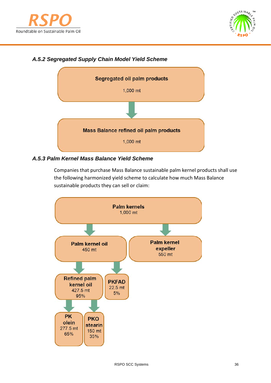



# *A.5.2 Segregated Supply Chain Model Yield Scheme*



## *A.5.3 Palm Kernel Mass Balance Yield Scheme*

Companies that purchase Mass Balance sustainable palm kernel products shall use the following harmonized yield scheme to calculate how much Mass Balance sustainable products they can sell or claim: